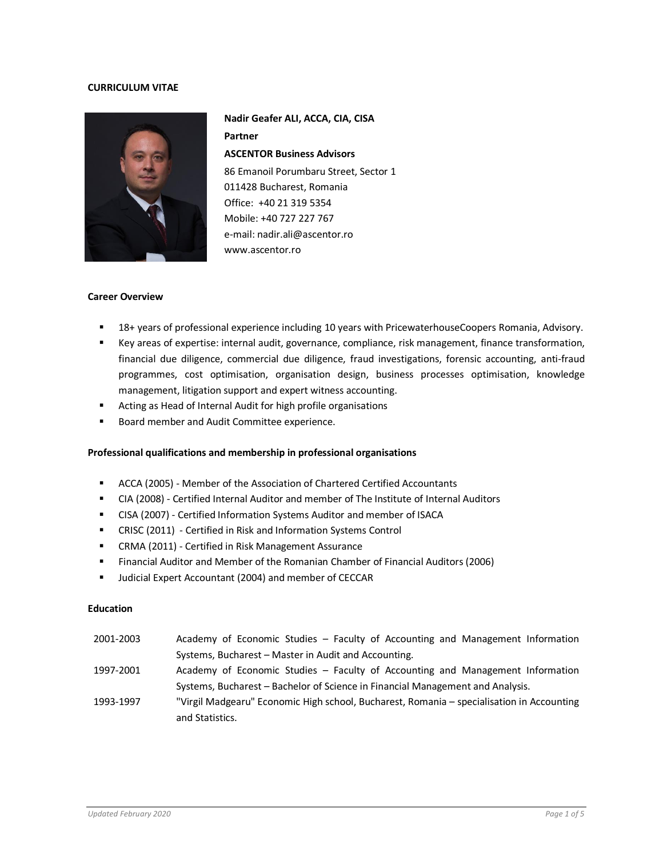### **CURRICULUM VITAE**



**Nadir Geafer ALI, ACCA, CIA, CISA Partner ASCENTOR Business Advisors** 86 Emanoil Porumbaru Street, Sector 1 011428 Bucharest, Romania Office: +40 21 319 5354 Mobile: +40 727 227 767 e-mail: nadir.ali@ascentor.ro www.ascentor.ro

### **Career Overview**

- 18+ years of professional experience including 10 years with PricewaterhouseCoopers Romania, Advisory.
- Key areas of expertise: internal audit, governance, compliance, risk management, finance transformation, financial due diligence, commercial due diligence, fraud investigations, forensic accounting, anti-fraud programmes, cost optimisation, organisation design, business processes optimisation, knowledge management, litigation support and expert witness accounting.
- Acting as Head of Internal Audit for high profile organisations
- Board member and Audit Committee experience.

### **Professional qualifications and membership in professional organisations**

- ACCA (2005) Member of the Association of Chartered Certified Accountants
- CIA (2008) Certified Internal Auditor and member of The Institute of Internal Auditors
- CISA (2007) Certified Information Systems Auditor and member of ISACA
- CRISC (2011) Certified in Risk and Information Systems Control
- CRMA (2011) Certified in Risk Management Assurance
- Financial Auditor and Member of the Romanian Chamber of Financial Auditors (2006)
- Judicial Expert Accountant (2004) and member of CECCAR

### **Education**

| 2001-2003 | Academy of Economic Studies – Faculty of Accounting and Management Information            |  |
|-----------|-------------------------------------------------------------------------------------------|--|
|           | Systems, Bucharest – Master in Audit and Accounting.                                      |  |
| 1997-2001 | Academy of Economic Studies – Faculty of Accounting and Management Information            |  |
|           | Systems, Bucharest – Bachelor of Science in Financial Management and Analysis.            |  |
| 1993-1997 | "Virgil Madgearu" Economic High school, Bucharest, Romania - specialisation in Accounting |  |

and Statistics.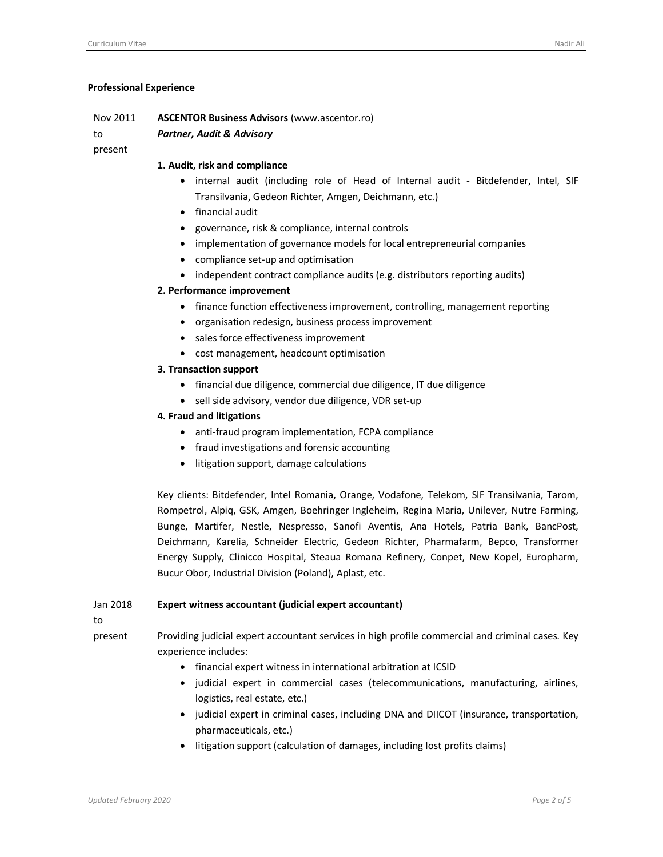### **Professional Experience**

| Nov 2011 | <b>ASCENTOR Business Advisors (www.ascentor.ro)</b> |
|----------|-----------------------------------------------------|
|----------|-----------------------------------------------------|

|  |  | <b>Partner, Audit &amp; Advisory</b> |
|--|--|--------------------------------------|
|--|--|--------------------------------------|

present

to

### **1. Audit, risk and compliance**

- internal audit (including role of Head of Internal audit Bitdefender, Intel, SIF Transilvania, Gedeon Richter, Amgen, Deichmann, etc.)
- financial audit
- governance, risk & compliance, internal controls
- implementation of governance models for local entrepreneurial companies
- compliance set-up and optimisation
- independent contract compliance audits (e.g. distributors reporting audits)

# **2. Performance improvement**

- finance function effectiveness improvement, controlling, management reporting
- organisation redesign, business process improvement
- sales force effectiveness improvement
- cost management, headcount optimisation
- **3. Transaction support**
	- financial due diligence, commercial due diligence, IT due diligence
	- sell side advisory, vendor due diligence, VDR set-up

# **4. Fraud and litigations**

- anti-fraud program implementation, FCPA compliance
- fraud investigations and forensic accounting
- litigation support, damage calculations

Key clients: Bitdefender, Intel Romania, Orange, Vodafone, Telekom, SIF Transilvania, Tarom, Rompetrol, Alpiq, GSK, Amgen, Boehringer Ingleheim, Regina Maria, Unilever, Nutre Farming, Bunge, Martifer, Nestle, Nespresso, Sanofi Aventis, Ana Hotels, Patria Bank, BancPost, Deichmann, Karelia, Schneider Electric, Gedeon Richter, Pharmafarm, Bepco, Transformer Energy Supply, Clinicco Hospital, Steaua Romana Refinery, Conpet, New Kopel, Europharm, Bucur Obor, Industrial Division (Poland), Aplast, etc.

#### Jan 2018 **Expert witness accountant (judicial expert accountant)**

to

present Providing judicial expert accountant services in high profile commercial and criminal cases. Key experience includes:

- financial expert witness in international arbitration at ICSID
- judicial expert in commercial cases (telecommunications, manufacturing, airlines, logistics, real estate, etc.)
- judicial expert in criminal cases, including DNA and DIICOT (insurance, transportation, pharmaceuticals, etc.)
- litigation support (calculation of damages, including lost profits claims)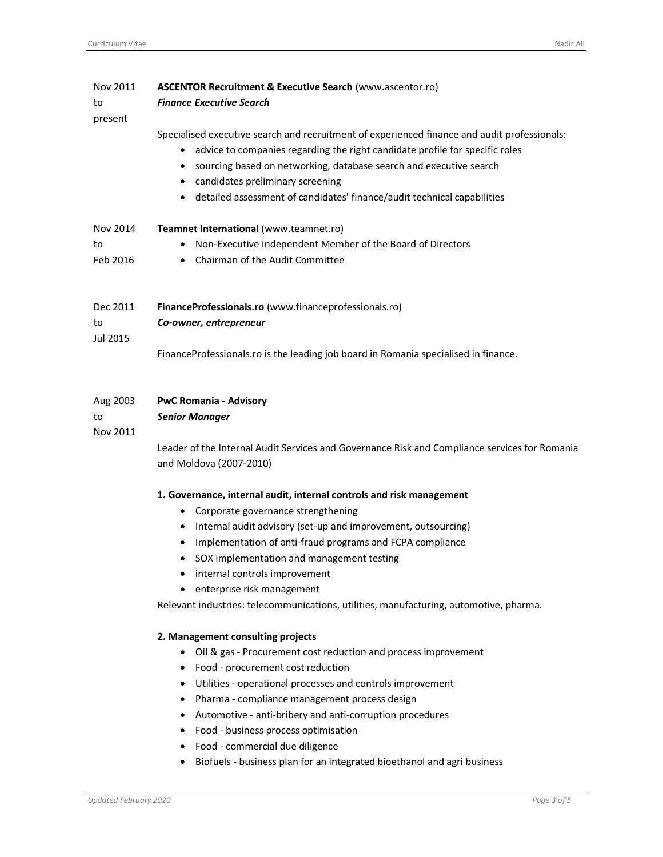#### Nov 2011 **ASCENTOR Recruitment & Executive Search** (www.ascentor.ro)

### *Finance Executive Search*

# present

to

to

### Specialised executive search and recruitment of experienced finance and audit professionals:

- advice to companies regarding the right candidate profile for specific roles
- sourcing based on networking, database search and executive search
- candidates preliminary screening
- detailed assessment of candidates' finance/audit technical capabilities

#### Nov 2014 **Teamnet International** (www.teamnet.ro)

- Non-Executive Independent Member of the Board of Directors
- Feb 2016 • Chairman of the Audit Committee

| Dec 2011 | <b>FinanceProfessionals.ro</b> (www.financeprofessionals.ro)                         |
|----------|--------------------------------------------------------------------------------------|
| to       | Co-owner, entrepreneur                                                               |
| Jul 2015 |                                                                                      |
|          | Finance Professionals ro is the leading job board in Romania specialised in finance. |

#### Aug 2003 **PwC Romania - Advisory**

### *Senior Manager*

Nov 2011

to

Leader of the Internal Audit Services and Governance Risk and Compliance services for Romania and Moldova (2007-2010)

### **1. Governance, internal audit, internal controls and risk management**

- Corporate governance strengthening
- Internal audit advisory (set-up and improvement, outsourcing)
- Implementation of anti-fraud programs and FCPA compliance
- SOX implementation and management testing
- internal controls improvement
- enterprise risk management

Relevant industries: telecommunications, utilities, manufacturing, automotive, pharma.

### **2. Management consulting projects**

- Oil & gas Procurement cost reduction and process improvement
- Food procurement cost reduction
- Utilities operational processes and controls improvement
- Pharma compliance management process design
- Automotive anti-bribery and anti-corruption procedures
- Food business process optimisation
- Food commercial due diligence
- Biofuels business plan for an integrated bioethanol and agri business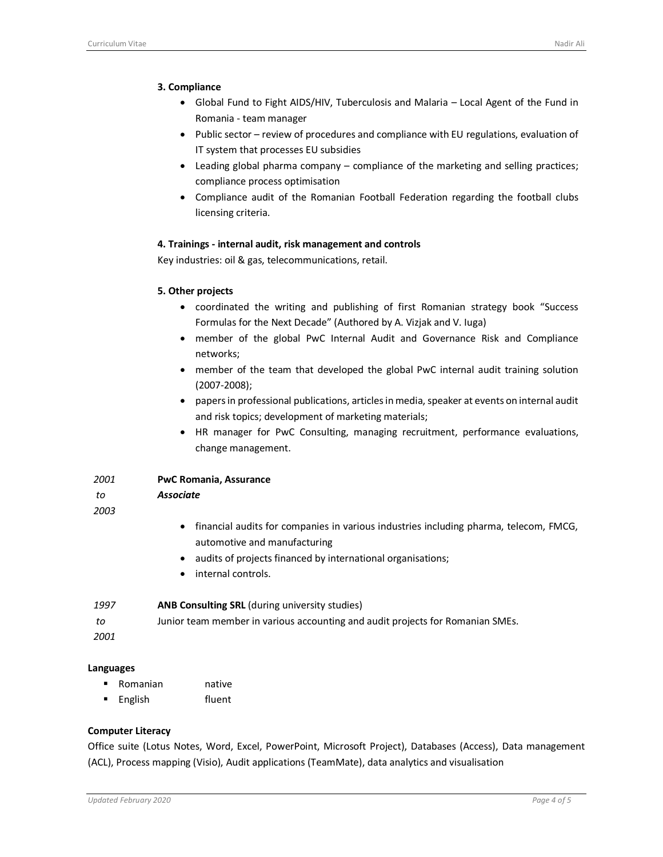# **3. Compliance**

- Global Fund to Fight AIDS/HIV, Tuberculosis and Malaria Local Agent of the Fund in Romania - team manager
- Public sector review of procedures and compliance with EU regulations, evaluation of IT system that processes EU subsidies
- Leading global pharma company compliance of the marketing and selling practices; compliance process optimisation
- Compliance audit of the Romanian Football Federation regarding the football clubs licensing criteria.

# **4. Trainings - internal audit, risk management and controls**

Key industries: oil & gas, telecommunications, retail.

# **5. Other projects**

- coordinated the writing and publishing of first Romanian strategy book "Success Formulas for the Next Decade" (Authored by A. Vizjak and V. Iuga)
- member of the global PwC Internal Audit and Governance Risk and Compliance networks;
- member of the team that developed the global PwC internal audit training solution (2007-2008);
- papers in professional publications, articles in media, speaker at events on internal audit and risk topics; development of marketing materials;
- HR manager for PwC Consulting, managing recruitment, performance evaluations, change management.

#### *2001* **PwC Romania, Assurance**

# *Associate*

*to 2003*

- financial audits for companies in various industries including pharma, telecom, FMCG, automotive and manufacturing
- audits of projects financed by international organisations;
- internal controls.

#### *1997* **ANB Consulting SRL** (during university studies)

*to*  Junior team member in various accounting and audit projects for Romanian SMEs.

*2001*

# **Languages**

- Romanian native
- English fluent

# **Computer Literacy**

Office suite (Lotus Notes, Word, Excel, PowerPoint, Microsoft Project), Databases (Access), Data management (ACL), Process mapping (Visio), Audit applications (TeamMate), data analytics and visualisation